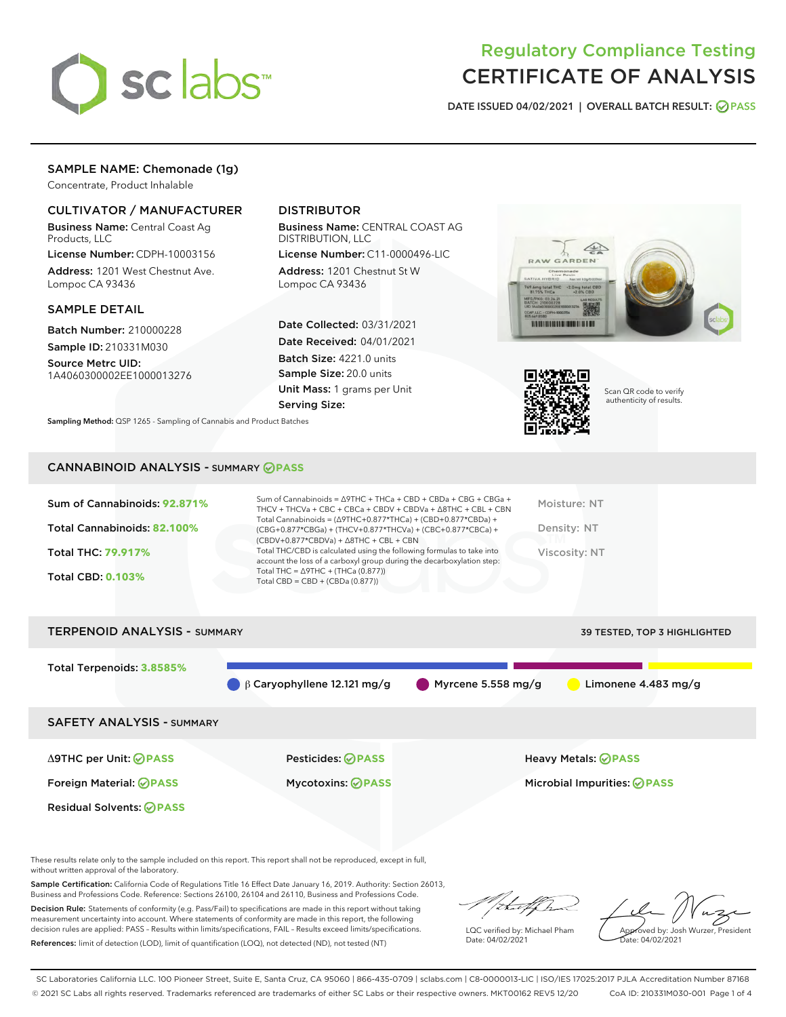

# Regulatory Compliance Testing CERTIFICATE OF ANALYSIS

DATE ISSUED 04/02/2021 | OVERALL BATCH RESULT: @ PASS

## SAMPLE NAME: Chemonade (1g)

Concentrate, Product Inhalable

## CULTIVATOR / MANUFACTURER

Business Name: Central Coast Ag Products, LLC

License Number: CDPH-10003156 Address: 1201 West Chestnut Ave. Lompoc CA 93436

## SAMPLE DETAIL

Batch Number: 210000228 Sample ID: 210331M030

Source Metrc UID: 1A4060300002EE1000013276

## DISTRIBUTOR

Business Name: CENTRAL COAST AG DISTRIBUTION, LLC

License Number: C11-0000496-LIC Address: 1201 Chestnut St W Lompoc CA 93436

Date Collected: 03/31/2021 Date Received: 04/01/2021 Batch Size: 4221.0 units Sample Size: 20.0 units Unit Mass: 1 grams per Unit Serving Size:





Scan QR code to verify authenticity of results.

Sampling Method: QSP 1265 - Sampling of Cannabis and Product Batches

## CANNABINOID ANALYSIS - SUMMARY **PASS**

| $(CBDV+0.877*CBDVa) + \Delta 8THC + CBL + CBN$<br>Total THC/CBD is calculated using the following formulas to take into<br>Total THC: 79.917%<br>Viscosity: NT<br>account the loss of a carboxyl group during the decarboxylation step:<br>Total THC = $\triangle$ 9THC + (THCa (0.877))<br><b>Total CBD: 0.103%</b><br>Total CBD = $CBD + (CBDa (0.877))$ | Sum of Cannabinoids: 92.871%<br>Total Cannabinoids: 82.100% | Sum of Cannabinoids = Δ9THC + THCa + CBD + CBDa + CBG + CBGa +<br>THCV + THCVa + CBC + CBCa + CBDV + CBDVa + $\Delta$ 8THC + CBL + CBN<br>Total Cannabinoids = $(\Delta$ 9THC+0.877*THCa) + (CBD+0.877*CBDa) + | Moisture: NT<br>Density: NT |
|------------------------------------------------------------------------------------------------------------------------------------------------------------------------------------------------------------------------------------------------------------------------------------------------------------------------------------------------------------|-------------------------------------------------------------|----------------------------------------------------------------------------------------------------------------------------------------------------------------------------------------------------------------|-----------------------------|
|                                                                                                                                                                                                                                                                                                                                                            |                                                             | (CBG+0.877*CBGa) + (THCV+0.877*THCVa) + (CBC+0.877*CBCa) +                                                                                                                                                     |                             |
|                                                                                                                                                                                                                                                                                                                                                            |                                                             |                                                                                                                                                                                                                |                             |
|                                                                                                                                                                                                                                                                                                                                                            |                                                             |                                                                                                                                                                                                                |                             |

# TERPENOID ANALYSIS - SUMMARY 39 TESTED, TOP 3 HIGHLIGHTED Total Terpenoids: **3.8585%** β Caryophyllene 12.121 mg/g Myrcene 5.558 mg/g Limonene 4.483 mg/g SAFETY ANALYSIS - SUMMARY Δ9THC per Unit: **PASS** Pesticides: **PASS** Heavy Metals: **PASS** Foreign Material: **PASS** Mycotoxins: **PASS** Microbial Impurities: **PASS** Residual Solvents: **PASS**

These results relate only to the sample included on this report. This report shall not be reproduced, except in full, without written approval of the laboratory.

Sample Certification: California Code of Regulations Title 16 Effect Date January 16, 2019. Authority: Section 26013, Business and Professions Code. Reference: Sections 26100, 26104 and 26110, Business and Professions Code.

Decision Rule: Statements of conformity (e.g. Pass/Fail) to specifications are made in this report without taking measurement uncertainty into account. Where statements of conformity are made in this report, the following decision rules are applied: PASS – Results within limits/specifications, FAIL – Results exceed limits/specifications. References: limit of detection (LOD), limit of quantification (LOQ), not detected (ND), not tested (NT)

that f h

LQC verified by: Michael Pham Date: 04/02/2021

Approved by: Josh Wurzer, President ate: 04/02/2021

SC Laboratories California LLC. 100 Pioneer Street, Suite E, Santa Cruz, CA 95060 | 866-435-0709 | sclabs.com | C8-0000013-LIC | ISO/IES 17025:2017 PJLA Accreditation Number 87168 © 2021 SC Labs all rights reserved. Trademarks referenced are trademarks of either SC Labs or their respective owners. MKT00162 REV5 12/20 CoA ID: 210331M030-001 Page 1 of 4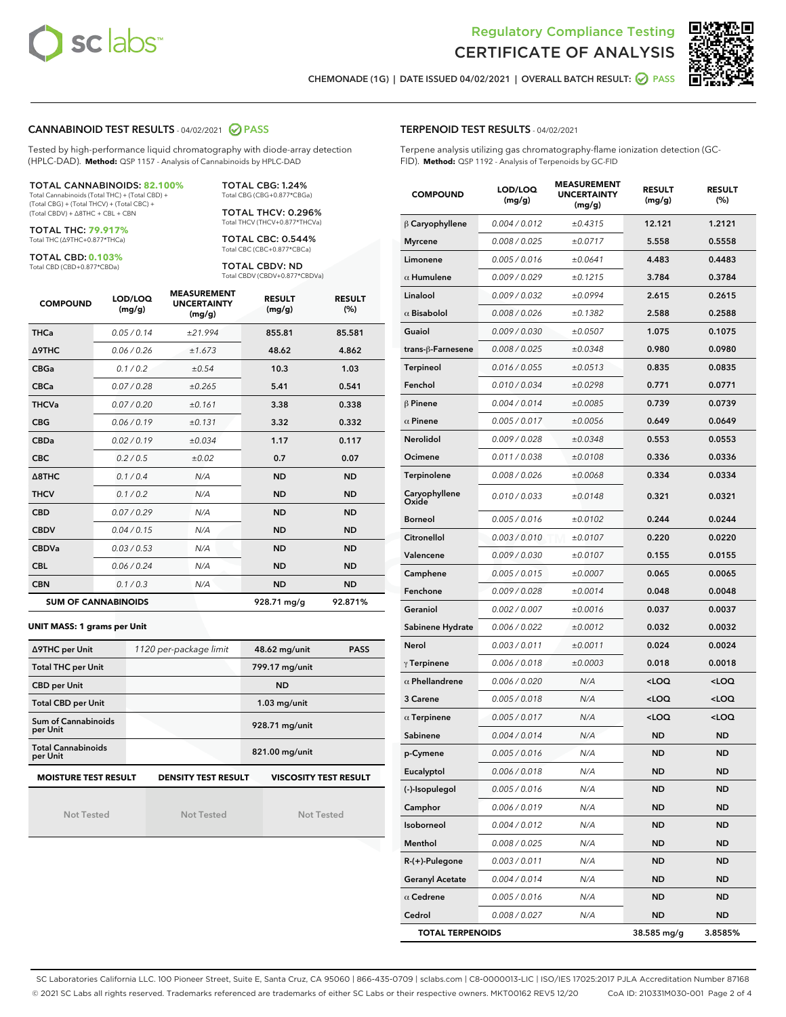



CHEMONADE (1G) | DATE ISSUED 04/02/2021 | OVERALL BATCH RESULT: @ PASS

## CANNABINOID TEST RESULTS - 04/02/2021 2 PASS

Tested by high-performance liquid chromatography with diode-array detection (HPLC-DAD). **Method:** QSP 1157 - Analysis of Cannabinoids by HPLC-DAD

#### TOTAL CANNABINOIDS: **82.100%** Total Cannabinoids (Total THC) + (Total CBD) +

(Total CBG) + (Total THCV) + (Total CBC) + (Total CBDV) + ∆8THC + CBL + CBN

TOTAL THC: **79.917%** Total THC (∆9THC+0.877\*THCa)

TOTAL CBD: **0.103%**

Total CBD (CBD+0.877\*CBDa)

TOTAL CBG: 1.24% Total CBG (CBG+0.877\*CBGa)

TOTAL THCV: 0.296% Total THCV (THCV+0.877\*THCVa)

TOTAL CBC: 0.544% Total CBC (CBC+0.877\*CBCa)

TOTAL CBDV: ND Total CBDV (CBDV+0.877\*CBDVa)

| <b>COMPOUND</b>  | LOD/LOQ<br>(mg/g)          | <b>MEASUREMENT</b><br><b>UNCERTAINTY</b><br>(mg/g) | <b>RESULT</b><br>(mg/g) | <b>RESULT</b><br>(%) |
|------------------|----------------------------|----------------------------------------------------|-------------------------|----------------------|
| <b>THCa</b>      | 0.05/0.14                  | ±21.994                                            | 855.81                  | 85.581               |
| <b>A9THC</b>     | 0.06 / 0.26                | ±1.673                                             | 48.62                   | 4.862                |
| <b>CBGa</b>      | 0.1 / 0.2                  | ±0.54                                              | 10.3                    | 1.03                 |
| <b>CBCa</b>      | 0.07 / 0.28                | ±0.265                                             | 5.41                    | 0.541                |
| <b>THCVa</b>     | 0.07/0.20                  | ±0.161                                             | 3.38                    | 0.338                |
| <b>CBG</b>       | 0.06/0.19                  | ±0.131                                             | 3.32                    | 0.332                |
| <b>CBDa</b>      | 0.02 / 0.19                | ±0.034                                             | 1.17                    | 0.117                |
| <b>CBC</b>       | 0.2 / 0.5                  | ±0.02                                              | 0.7                     | 0.07                 |
| $\triangle$ 8THC | 0.1 / 0.4                  | N/A                                                | <b>ND</b>               | <b>ND</b>            |
| <b>THCV</b>      | 0.1/0.2                    | N/A                                                | <b>ND</b>               | <b>ND</b>            |
| <b>CBD</b>       | 0.07/0.29                  | N/A                                                | <b>ND</b>               | <b>ND</b>            |
| <b>CBDV</b>      | 0.04/0.15                  | N/A                                                | <b>ND</b>               | <b>ND</b>            |
| <b>CBDVa</b>     | 0.03/0.53                  | N/A                                                | <b>ND</b>               | <b>ND</b>            |
| <b>CBL</b>       | 0.06 / 0.24                | N/A                                                | <b>ND</b>               | <b>ND</b>            |
| <b>CBN</b>       | 0.1/0.3                    | N/A                                                | <b>ND</b>               | <b>ND</b>            |
|                  | <b>SUM OF CANNABINOIDS</b> |                                                    | 928.71 mg/g             | 92.871%              |

#### **UNIT MASS: 1 grams per Unit**

| ∆9THC per Unit                         | 1120 per-package limit     | 48.62 mg/unit<br><b>PASS</b> |  |
|----------------------------------------|----------------------------|------------------------------|--|
| <b>Total THC per Unit</b>              |                            | 799.17 mg/unit               |  |
| <b>CBD per Unit</b>                    |                            | <b>ND</b>                    |  |
| <b>Total CBD per Unit</b>              |                            | $1.03$ mg/unit               |  |
| <b>Sum of Cannabinoids</b><br>per Unit |                            | 928.71 mg/unit               |  |
| <b>Total Cannabinoids</b><br>per Unit  |                            | 821.00 mg/unit               |  |
| <b>MOISTURE TEST RESULT</b>            | <b>DENSITY TEST RESULT</b> | <b>VISCOSITY TEST RESULT</b> |  |

Not Tested

**MOISTURE TEST RESULT**

Not Tested

Not Tested

Terpene analysis utilizing gas chromatography-flame ionization detection (GC-FID). **Method:** QSP 1192 - Analysis of Terpenoids by GC-FID

| <b>COMPOUND</b>         | LOD/LOQ<br>(mg/g) | <b>MEASUREMENT</b><br><b>UNCERTAINTY</b><br>(mg/g) | <b>RESULT</b><br>(mg/g)                         | <b>RESULT</b><br>(%) |
|-------------------------|-------------------|----------------------------------------------------|-------------------------------------------------|----------------------|
| $\beta$ Caryophyllene   | 0.004 / 0.012     | ±0.4315                                            | 12.121                                          | 1.2121               |
| <b>Myrcene</b>          | 0.008 / 0.025     | ±0.0717                                            | 5.558                                           | 0.5558               |
| Limonene                | 0.005 / 0.016     | ±0.0641                                            | 4.483                                           | 0.4483               |
| $\alpha$ Humulene       | 0.009 / 0.029     | ±0.1215                                            | 3.784                                           | 0.3784               |
| Linalool                | 0.009 / 0.032     | ±0.0994                                            | 2.615                                           | 0.2615               |
| $\alpha$ Bisabolol      | 0.008 / 0.026     | ±0.1382                                            | 2.588                                           | 0.2588               |
| Guaiol                  | 0.009 / 0.030     | ±0.0507                                            | 1.075                                           | 0.1075               |
| trans-ß-Farnesene       | 0.008 / 0.025     | ±0.0348                                            | 0.980                                           | 0.0980               |
| <b>Terpineol</b>        | 0.016 / 0.055     | ±0.0513                                            | 0.835                                           | 0.0835               |
| Fenchol                 | 0.010 / 0.034     | ±0.0298                                            | 0.771                                           | 0.0771               |
| $\beta$ Pinene          | 0.004 / 0.014     | ±0.0085                                            | 0.739                                           | 0.0739               |
| $\alpha$ Pinene         | 0.005 / 0.017     | ±0.0056                                            | 0.649                                           | 0.0649               |
| <b>Nerolidol</b>        | 0.009 / 0.028     | ±0.0348                                            | 0.553                                           | 0.0553               |
| Ocimene                 | 0.011 / 0.038     | ±0.0108                                            | 0.336                                           | 0.0336               |
| Terpinolene             | 0.008 / 0.026     | ±0.0068                                            | 0.334                                           | 0.0334               |
| Caryophyllene<br>Oxide  | 0.010 / 0.033     | ±0.0148                                            | 0.321                                           | 0.0321               |
| <b>Borneol</b>          | 0.005 / 0.016     | ±0.0102                                            | 0.244                                           | 0.0244               |
| Citronellol             | 0.003/0.010       | ±0.0107                                            | 0.220                                           | 0.0220               |
| Valencene               | 0.009 / 0.030     | ±0.0107                                            | 0.155                                           | 0.0155               |
| Camphene                | 0.005 / 0.015     | ±0.0007                                            | 0.065                                           | 0.0065               |
| Fenchone                | 0.009 / 0.028     | ±0.0014                                            | 0.048                                           | 0.0048               |
| Geraniol                | 0.002 / 0.007     | ±0.0016                                            | 0.037                                           | 0.0037               |
| Sabinene Hydrate        | 0.006 / 0.022     | ±0.0012                                            | 0.032                                           | 0.0032               |
| Nerol                   | 0.003 / 0.011     | ±0.0011                                            | 0.024                                           | 0.0024               |
| $\gamma$ Terpinene      | 0.006 / 0.018     | ±0.0003                                            | 0.018                                           | 0.0018               |
| $\alpha$ Phellandrene   | 0.006 / 0.020     | N/A                                                | <loq< th=""><th><loq< th=""></loq<></th></loq<> | <loq< th=""></loq<>  |
| 3 Carene                | 0.005 / 0.018     | N/A                                                | <loq< th=""><th><loq< th=""></loq<></th></loq<> | <loq< th=""></loq<>  |
| $\alpha$ Terpinene      | 0.005 / 0.017     | N/A                                                | <loq< th=""><th><loq< th=""></loq<></th></loq<> | <loq< th=""></loq<>  |
| Sabinene                | 0.004 / 0.014     | N/A                                                | ND                                              | <b>ND</b>            |
| p-Cymene                | 0.005 / 0.016     | N/A                                                | ND                                              | ND.                  |
| Eucalyptol              | 0.006 / 0.018     | N/A                                                | ND                                              | ND                   |
| (-)-Isopulegol          | 0.005 / 0.016     | N/A                                                | <b>ND</b>                                       | <b>ND</b>            |
| Camphor                 | 0.006 / 0.019     | N/A                                                | ND                                              | ND                   |
| Isoborneol              | 0.004 / 0.012     | N/A                                                | ND                                              | <b>ND</b>            |
| Menthol                 | 0.008 / 0.025     | N/A                                                | ND                                              | ND                   |
| R-(+)-Pulegone          | 0.003 / 0.011     | N/A                                                | ND                                              | ND                   |
| <b>Geranyl Acetate</b>  | 0.004 / 0.014     | N/A                                                | ND                                              | ND                   |
| $\alpha$ Cedrene        | 0.005 / 0.016     | N/A                                                | ND                                              | ND                   |
| Cedrol                  | 0.008 / 0.027     | N/A                                                | ND                                              | ND                   |
| <b>TOTAL TERPENOIDS</b> |                   |                                                    | 38.585 mg/g                                     | 3.8585%              |

SC Laboratories California LLC. 100 Pioneer Street, Suite E, Santa Cruz, CA 95060 | 866-435-0709 | sclabs.com | C8-0000013-LIC | ISO/IES 17025:2017 PJLA Accreditation Number 87168 © 2021 SC Labs all rights reserved. Trademarks referenced are trademarks of either SC Labs or their respective owners. MKT00162 REV5 12/20 CoA ID: 210331M030-001 Page 2 of 4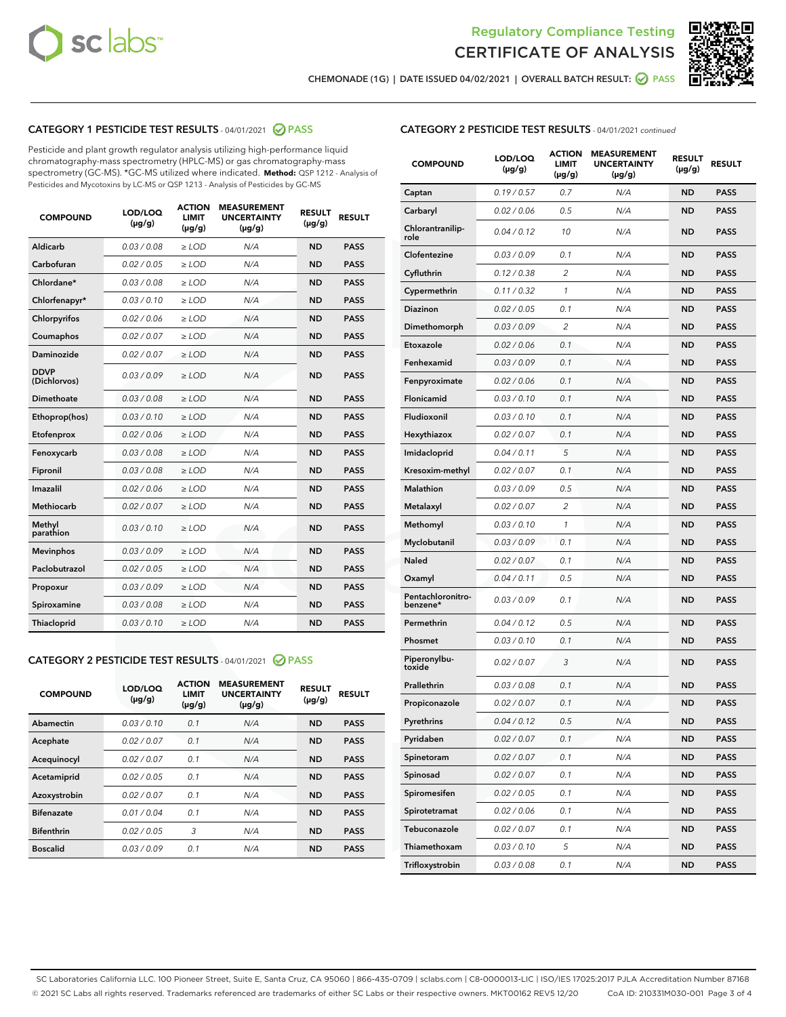



CHEMONADE (1G) | DATE ISSUED 04/02/2021 | OVERALL BATCH RESULT: ◯ PASS

## CATEGORY 1 PESTICIDE TEST RESULTS - 04/01/2021 2 PASS

Pesticide and plant growth regulator analysis utilizing high-performance liquid chromatography-mass spectrometry (HPLC-MS) or gas chromatography-mass spectrometry (GC-MS). \*GC-MS utilized where indicated. **Method:** QSP 1212 - Analysis of Pesticides and Mycotoxins by LC-MS or QSP 1213 - Analysis of Pesticides by GC-MS

| 0.03 / 0.08<br><b>ND</b><br><b>PASS</b><br>Aldicarb<br>$\ge$ LOD<br>N/A<br>Carbofuran<br><b>ND</b><br>0.02 / 0.05<br>$\ge$ LOD<br>N/A<br><b>PASS</b><br>Chlordane*<br>0.03 / 0.08<br>$\ge$ LOD<br>N/A<br><b>ND</b><br><b>PASS</b><br>Chlorfenapyr*<br>0.03/0.10<br>$\ge$ LOD<br>N/A<br><b>ND</b><br><b>PASS</b><br>Chlorpyrifos<br>0.02 / 0.06<br>N/A<br><b>ND</b><br><b>PASS</b><br>$\ge$ LOD<br>Coumaphos<br>0.02 / 0.07<br>N/A<br><b>ND</b><br><b>PASS</b><br>$\ge$ LOD<br>Daminozide<br>0.02 / 0.07<br>N/A<br><b>ND</b><br><b>PASS</b><br>$\ge$ LOD<br><b>DDVP</b><br>0.03/0.09<br>$>$ LOD<br>N/A<br><b>ND</b><br><b>PASS</b><br>(Dichlorvos)<br>Dimethoate<br>0.03 / 0.08<br>$\ge$ LOD<br><b>ND</b><br><b>PASS</b><br>N/A<br>0.03/0.10<br>N/A<br><b>ND</b><br><b>PASS</b><br>Ethoprop(hos)<br>$>$ LOD<br>N/A<br><b>ND</b><br><b>PASS</b><br>Etofenprox<br>0.02 / 0.06<br>$\ge$ LOD<br>Fenoxycarb<br>0.03 / 0.08<br>$\ge$ LOD<br>N/A<br><b>ND</b><br><b>PASS</b><br>0.03 / 0.08<br>$\ge$ LOD<br>N/A<br><b>ND</b><br><b>PASS</b><br>Fipronil<br>Imazalil<br>0.02 / 0.06<br>$\geq$ LOD<br>N/A<br><b>ND</b><br><b>PASS</b><br><b>Methiocarb</b><br>0.02 / 0.07<br>$\ge$ LOD<br>N/A<br><b>ND</b><br><b>PASS</b><br>Methyl<br>0.03/0.10<br>N/A<br><b>ND</b><br><b>PASS</b><br>$\ge$ LOD<br>parathion<br>0.03/0.09<br><b>Mevinphos</b><br>$\ge$ LOD<br>N/A<br><b>ND</b><br><b>PASS</b><br>Paclobutrazol<br>0.02 / 0.05<br>$>$ LOD<br>N/A<br><b>ND</b><br><b>PASS</b><br>0.03 / 0.09<br>N/A<br>$\ge$ LOD<br><b>ND</b><br><b>PASS</b><br>Propoxur<br>0.03 / 0.08<br><b>ND</b><br><b>PASS</b><br>Spiroxamine<br>$\ge$ LOD<br>N/A<br>Thiacloprid<br>0.03/0.10<br>$\ge$ LOD<br>N/A<br><b>ND</b><br><b>PASS</b> | <b>COMPOUND</b> | LOD/LOQ<br>$(\mu g/g)$ | <b>ACTION</b><br><b>LIMIT</b><br>$(\mu g/g)$ | <b>MEASUREMENT</b><br><b>UNCERTAINTY</b><br>$(\mu g/g)$ | <b>RESULT</b><br>$(\mu g/g)$ | <b>RESULT</b> |
|---------------------------------------------------------------------------------------------------------------------------------------------------------------------------------------------------------------------------------------------------------------------------------------------------------------------------------------------------------------------------------------------------------------------------------------------------------------------------------------------------------------------------------------------------------------------------------------------------------------------------------------------------------------------------------------------------------------------------------------------------------------------------------------------------------------------------------------------------------------------------------------------------------------------------------------------------------------------------------------------------------------------------------------------------------------------------------------------------------------------------------------------------------------------------------------------------------------------------------------------------------------------------------------------------------------------------------------------------------------------------------------------------------------------------------------------------------------------------------------------------------------------------------------------------------------------------------------------------------------------------------------------------------------------------------------------------------|-----------------|------------------------|----------------------------------------------|---------------------------------------------------------|------------------------------|---------------|
|                                                                                                                                                                                                                                                                                                                                                                                                                                                                                                                                                                                                                                                                                                                                                                                                                                                                                                                                                                                                                                                                                                                                                                                                                                                                                                                                                                                                                                                                                                                                                                                                                                                                                                         |                 |                        |                                              |                                                         |                              |               |
|                                                                                                                                                                                                                                                                                                                                                                                                                                                                                                                                                                                                                                                                                                                                                                                                                                                                                                                                                                                                                                                                                                                                                                                                                                                                                                                                                                                                                                                                                                                                                                                                                                                                                                         |                 |                        |                                              |                                                         |                              |               |
|                                                                                                                                                                                                                                                                                                                                                                                                                                                                                                                                                                                                                                                                                                                                                                                                                                                                                                                                                                                                                                                                                                                                                                                                                                                                                                                                                                                                                                                                                                                                                                                                                                                                                                         |                 |                        |                                              |                                                         |                              |               |
|                                                                                                                                                                                                                                                                                                                                                                                                                                                                                                                                                                                                                                                                                                                                                                                                                                                                                                                                                                                                                                                                                                                                                                                                                                                                                                                                                                                                                                                                                                                                                                                                                                                                                                         |                 |                        |                                              |                                                         |                              |               |
|                                                                                                                                                                                                                                                                                                                                                                                                                                                                                                                                                                                                                                                                                                                                                                                                                                                                                                                                                                                                                                                                                                                                                                                                                                                                                                                                                                                                                                                                                                                                                                                                                                                                                                         |                 |                        |                                              |                                                         |                              |               |
|                                                                                                                                                                                                                                                                                                                                                                                                                                                                                                                                                                                                                                                                                                                                                                                                                                                                                                                                                                                                                                                                                                                                                                                                                                                                                                                                                                                                                                                                                                                                                                                                                                                                                                         |                 |                        |                                              |                                                         |                              |               |
|                                                                                                                                                                                                                                                                                                                                                                                                                                                                                                                                                                                                                                                                                                                                                                                                                                                                                                                                                                                                                                                                                                                                                                                                                                                                                                                                                                                                                                                                                                                                                                                                                                                                                                         |                 |                        |                                              |                                                         |                              |               |
|                                                                                                                                                                                                                                                                                                                                                                                                                                                                                                                                                                                                                                                                                                                                                                                                                                                                                                                                                                                                                                                                                                                                                                                                                                                                                                                                                                                                                                                                                                                                                                                                                                                                                                         |                 |                        |                                              |                                                         |                              |               |
|                                                                                                                                                                                                                                                                                                                                                                                                                                                                                                                                                                                                                                                                                                                                                                                                                                                                                                                                                                                                                                                                                                                                                                                                                                                                                                                                                                                                                                                                                                                                                                                                                                                                                                         |                 |                        |                                              |                                                         |                              |               |
|                                                                                                                                                                                                                                                                                                                                                                                                                                                                                                                                                                                                                                                                                                                                                                                                                                                                                                                                                                                                                                                                                                                                                                                                                                                                                                                                                                                                                                                                                                                                                                                                                                                                                                         |                 |                        |                                              |                                                         |                              |               |
|                                                                                                                                                                                                                                                                                                                                                                                                                                                                                                                                                                                                                                                                                                                                                                                                                                                                                                                                                                                                                                                                                                                                                                                                                                                                                                                                                                                                                                                                                                                                                                                                                                                                                                         |                 |                        |                                              |                                                         |                              |               |
|                                                                                                                                                                                                                                                                                                                                                                                                                                                                                                                                                                                                                                                                                                                                                                                                                                                                                                                                                                                                                                                                                                                                                                                                                                                                                                                                                                                                                                                                                                                                                                                                                                                                                                         |                 |                        |                                              |                                                         |                              |               |
|                                                                                                                                                                                                                                                                                                                                                                                                                                                                                                                                                                                                                                                                                                                                                                                                                                                                                                                                                                                                                                                                                                                                                                                                                                                                                                                                                                                                                                                                                                                                                                                                                                                                                                         |                 |                        |                                              |                                                         |                              |               |
|                                                                                                                                                                                                                                                                                                                                                                                                                                                                                                                                                                                                                                                                                                                                                                                                                                                                                                                                                                                                                                                                                                                                                                                                                                                                                                                                                                                                                                                                                                                                                                                                                                                                                                         |                 |                        |                                              |                                                         |                              |               |
|                                                                                                                                                                                                                                                                                                                                                                                                                                                                                                                                                                                                                                                                                                                                                                                                                                                                                                                                                                                                                                                                                                                                                                                                                                                                                                                                                                                                                                                                                                                                                                                                                                                                                                         |                 |                        |                                              |                                                         |                              |               |
|                                                                                                                                                                                                                                                                                                                                                                                                                                                                                                                                                                                                                                                                                                                                                                                                                                                                                                                                                                                                                                                                                                                                                                                                                                                                                                                                                                                                                                                                                                                                                                                                                                                                                                         |                 |                        |                                              |                                                         |                              |               |
|                                                                                                                                                                                                                                                                                                                                                                                                                                                                                                                                                                                                                                                                                                                                                                                                                                                                                                                                                                                                                                                                                                                                                                                                                                                                                                                                                                                                                                                                                                                                                                                                                                                                                                         |                 |                        |                                              |                                                         |                              |               |
|                                                                                                                                                                                                                                                                                                                                                                                                                                                                                                                                                                                                                                                                                                                                                                                                                                                                                                                                                                                                                                                                                                                                                                                                                                                                                                                                                                                                                                                                                                                                                                                                                                                                                                         |                 |                        |                                              |                                                         |                              |               |
|                                                                                                                                                                                                                                                                                                                                                                                                                                                                                                                                                                                                                                                                                                                                                                                                                                                                                                                                                                                                                                                                                                                                                                                                                                                                                                                                                                                                                                                                                                                                                                                                                                                                                                         |                 |                        |                                              |                                                         |                              |               |
|                                                                                                                                                                                                                                                                                                                                                                                                                                                                                                                                                                                                                                                                                                                                                                                                                                                                                                                                                                                                                                                                                                                                                                                                                                                                                                                                                                                                                                                                                                                                                                                                                                                                                                         |                 |                        |                                              |                                                         |                              |               |
|                                                                                                                                                                                                                                                                                                                                                                                                                                                                                                                                                                                                                                                                                                                                                                                                                                                                                                                                                                                                                                                                                                                                                                                                                                                                                                                                                                                                                                                                                                                                                                                                                                                                                                         |                 |                        |                                              |                                                         |                              |               |

## CATEGORY 2 PESTICIDE TEST RESULTS - 04/01/2021 @ PASS

| <b>COMPOUND</b>   | LOD/LOQ<br>$(\mu g/g)$ | <b>ACTION</b><br><b>LIMIT</b><br>$(\mu g/g)$ | <b>MEASUREMENT</b><br><b>UNCERTAINTY</b><br>$(\mu g/g)$ | <b>RESULT</b><br>$(\mu g/g)$ | <b>RESULT</b> |
|-------------------|------------------------|----------------------------------------------|---------------------------------------------------------|------------------------------|---------------|
| Abamectin         | 0.03/0.10              | 0.1                                          | N/A                                                     | <b>ND</b>                    | <b>PASS</b>   |
| Acephate          | 0.02/0.07              | 0.1                                          | N/A                                                     | <b>ND</b>                    | <b>PASS</b>   |
| Acequinocyl       | 0.02/0.07              | 0.1                                          | N/A                                                     | <b>ND</b>                    | <b>PASS</b>   |
| Acetamiprid       | 0.02/0.05              | 0.1                                          | N/A                                                     | <b>ND</b>                    | <b>PASS</b>   |
| Azoxystrobin      | 0.02/0.07              | 0.1                                          | N/A                                                     | <b>ND</b>                    | <b>PASS</b>   |
| <b>Bifenazate</b> | 0.01/0.04              | 0.1                                          | N/A                                                     | <b>ND</b>                    | <b>PASS</b>   |
| <b>Bifenthrin</b> | 0.02/0.05              | 3                                            | N/A                                                     | <b>ND</b>                    | <b>PASS</b>   |
| <b>Boscalid</b>   | 0.03/0.09              | 0.1                                          | N/A                                                     | <b>ND</b>                    | <b>PASS</b>   |

|  | <b>CATEGORY 2 PESTICIDE TEST RESULTS</b> - 04/01/2021 continued |  |  |  |
|--|-----------------------------------------------------------------|--|--|--|
|--|-----------------------------------------------------------------|--|--|--|

| <b>COMPOUND</b>               | LOD/LOQ<br>(µg/g) | <b>ACTION</b><br>LIMIT<br>$(\mu g/g)$ | <b>MEASUREMENT</b><br><b>UNCERTAINTY</b><br>$(\mu g/g)$ | <b>RESULT</b><br>(µg/g) | <b>RESULT</b> |
|-------------------------------|-------------------|---------------------------------------|---------------------------------------------------------|-------------------------|---------------|
| Captan                        | 0.19/0.57         | 0.7                                   | N/A                                                     | <b>ND</b>               | <b>PASS</b>   |
| Carbaryl                      | 0.02 / 0.06       | 0.5                                   | N/A                                                     | <b>ND</b>               | <b>PASS</b>   |
| Chlorantranilip-<br>role      | 0.04 / 0.12       | 10                                    | N/A                                                     | <b>ND</b>               | <b>PASS</b>   |
| Clofentezine                  | 0.03 / 0.09       | 0.1                                   | N/A                                                     | <b>ND</b>               | <b>PASS</b>   |
| Cyfluthrin                    | 0.12 / 0.38       | 2                                     | N/A                                                     | <b>ND</b>               | <b>PASS</b>   |
| Cypermethrin                  | 0.11 / 0.32       | 1                                     | N/A                                                     | <b>ND</b>               | <b>PASS</b>   |
| <b>Diazinon</b>               | 0.02 / 0.05       | 0.1                                   | N/A                                                     | <b>ND</b>               | <b>PASS</b>   |
| Dimethomorph                  | 0.03 / 0.09       | 2                                     | N/A                                                     | <b>ND</b>               | <b>PASS</b>   |
| Etoxazole                     | 0.02 / 0.06       | 0.1                                   | N/A                                                     | <b>ND</b>               | <b>PASS</b>   |
| Fenhexamid                    | 0.03 / 0.09       | 0.1                                   | N/A                                                     | <b>ND</b>               | <b>PASS</b>   |
| Fenpyroximate                 | 0.02 / 0.06       | 0.1                                   | N/A                                                     | <b>ND</b>               | <b>PASS</b>   |
| Flonicamid                    | 0.03 / 0.10       | 0.1                                   | N/A                                                     | <b>ND</b>               | <b>PASS</b>   |
| Fludioxonil                   | 0.03 / 0.10       | 0.1                                   | N/A                                                     | <b>ND</b>               | <b>PASS</b>   |
| Hexythiazox                   | 0.02 / 0.07       | 0.1                                   | N/A                                                     | <b>ND</b>               | <b>PASS</b>   |
| Imidacloprid                  | 0.04 / 0.11       | 5                                     | N/A                                                     | <b>ND</b>               | <b>PASS</b>   |
| Kresoxim-methyl               | 0.02 / 0.07       | 0.1                                   | N/A                                                     | <b>ND</b>               | <b>PASS</b>   |
| Malathion                     | 0.03 / 0.09       | 0.5                                   | N/A                                                     | <b>ND</b>               | <b>PASS</b>   |
| Metalaxyl                     | 0.02 / 0.07       | 2                                     | N/A                                                     | <b>ND</b>               | <b>PASS</b>   |
| Methomyl                      | 0.03 / 0.10       | 1                                     | N/A                                                     | <b>ND</b>               | <b>PASS</b>   |
| Myclobutanil                  | 0.03 / 0.09       | 0.1                                   | N/A                                                     | <b>ND</b>               | <b>PASS</b>   |
| Naled                         | 0.02 / 0.07       | 0.1                                   | N/A                                                     | <b>ND</b>               | <b>PASS</b>   |
| Oxamyl                        | 0.04 / 0.11       | 0.5                                   | N/A                                                     | <b>ND</b>               | <b>PASS</b>   |
| Pentachloronitro-<br>benzene* | 0.03 / 0.09       | 0.1                                   | N/A                                                     | <b>ND</b>               | <b>PASS</b>   |
| Permethrin                    | 0.04 / 0.12       | 0.5                                   | N/A                                                     | <b>ND</b>               | <b>PASS</b>   |
| Phosmet                       | 0.03/0.10         | 0.1                                   | N/A                                                     | <b>ND</b>               | <b>PASS</b>   |
| Piperonylbu-<br>toxide        | 0.02 / 0.07       | 3                                     | N/A                                                     | <b>ND</b>               | <b>PASS</b>   |
| Prallethrin                   | 0.03 / 0.08       | 0.1                                   | N/A                                                     | <b>ND</b>               | <b>PASS</b>   |
| Propiconazole                 | 0.02 / 0.07       | 0.1                                   | N/A                                                     | <b>ND</b>               | <b>PASS</b>   |
| Pyrethrins                    | 0.04 / 0.12       | 0.5                                   | N/A                                                     | ND                      | PASS          |
| Pyridaben                     | 0.02 / 0.07       | 0.1                                   | N/A                                                     | <b>ND</b>               | <b>PASS</b>   |
| Spinetoram                    | 0.02 / 0.07       | 0.1                                   | N/A                                                     | <b>ND</b>               | <b>PASS</b>   |
| Spinosad                      | 0.02 / 0.07       | 0.1                                   | N/A                                                     | <b>ND</b>               | <b>PASS</b>   |
| Spiromesifen                  | 0.02 / 0.05       | 0.1                                   | N/A                                                     | <b>ND</b>               | <b>PASS</b>   |
| Spirotetramat                 | 0.02 / 0.06       | 0.1                                   | N/A                                                     | <b>ND</b>               | <b>PASS</b>   |
| Tebuconazole                  | 0.02 / 0.07       | 0.1                                   | N/A                                                     | <b>ND</b>               | <b>PASS</b>   |
| Thiamethoxam                  | 0.03 / 0.10       | 5                                     | N/A                                                     | <b>ND</b>               | <b>PASS</b>   |
| Trifloxystrobin               | 0.03 / 0.08       | 0.1                                   | N/A                                                     | <b>ND</b>               | <b>PASS</b>   |

SC Laboratories California LLC. 100 Pioneer Street, Suite E, Santa Cruz, CA 95060 | 866-435-0709 | sclabs.com | C8-0000013-LIC | ISO/IES 17025:2017 PJLA Accreditation Number 87168 © 2021 SC Labs all rights reserved. Trademarks referenced are trademarks of either SC Labs or their respective owners. MKT00162 REV5 12/20 CoA ID: 210331M030-001 Page 3 of 4